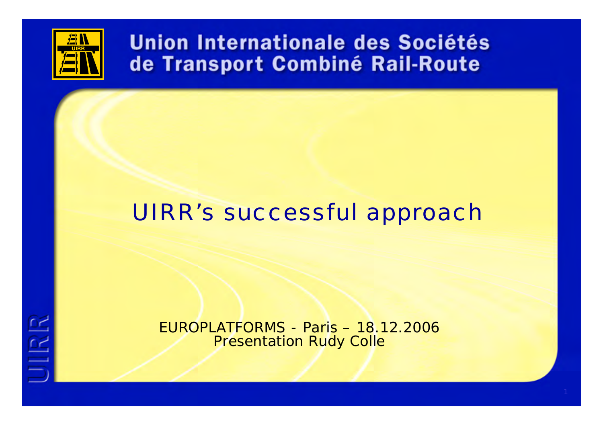

UIRR

# Union Internationale des Sociétés de Transport Combiné Rail-Route

# UIRR's successful approach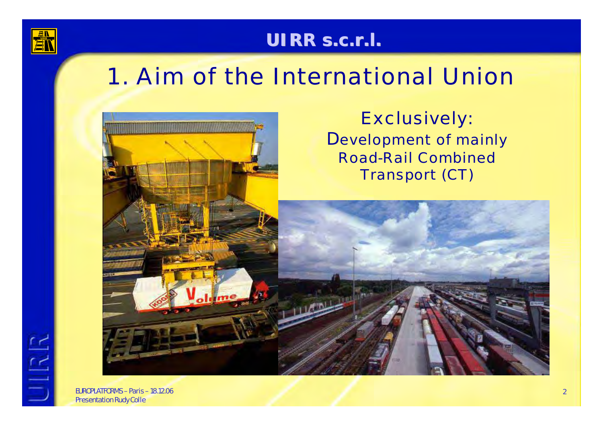

**JIRR** 

### **UIRR s.c.r.l. UIRR s.c.r.l.**

# 1. Aim of the International Union



Exclusively: Development of mainly Road-Rail CombinedTransport (CT)

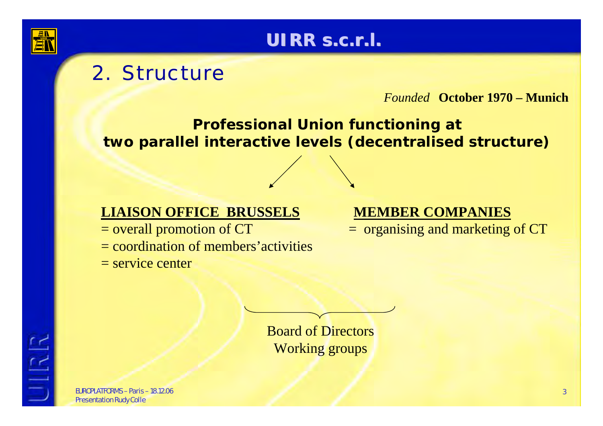

## **UIRR s.c.r.l. UIRR s.c.r.l.**

# 2. Structure

*Founded* **October 1970 – Munich**

#### **Professional Union functioning at two parallel interactive levels (decentralised structure)**

#### **LIAISON OFFICE BRUSSELS**

= overall promotion of CT = coordination of members'activities  $=$  service center

#### **MEMBER COMPANIES**

= organising and marketing of CT

Board of Directors Working groups

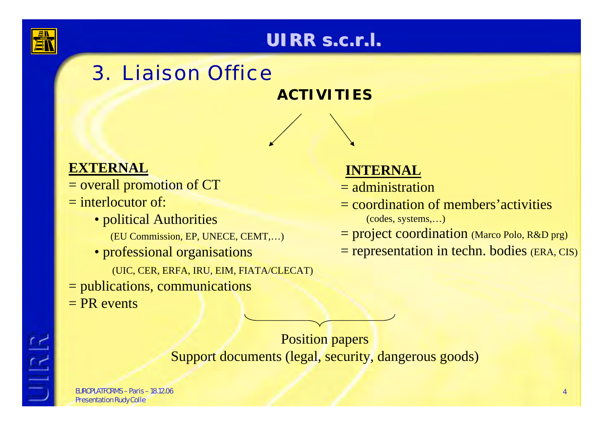

**JIRR** 

### **UIRR s.c.r.l. UIRR s.c.r.l.**

# 3. Liaison Office

#### **ACTIVITIES**

#### **EXTERNAL**

- = overall promotion of CT
- = interlocutor of:
	- political Authorities
		- (EU Commission, EP, UNECE, CEMT,…)
	- professional organisations
		- (UIC, CER, ERFA, IRU, EIM, FIATA/CLECAT)
- = publications, communications
- $= PR$  events

#### **INTERNAL**

- = administration
- = coordination of members'activities(codes, systems,…)
- = project coordination (Marco Polo, R&D prg)
- = representation in techn. bodies (ERA, CIS)

Position papers Support documents (legal, security, dangerous goods)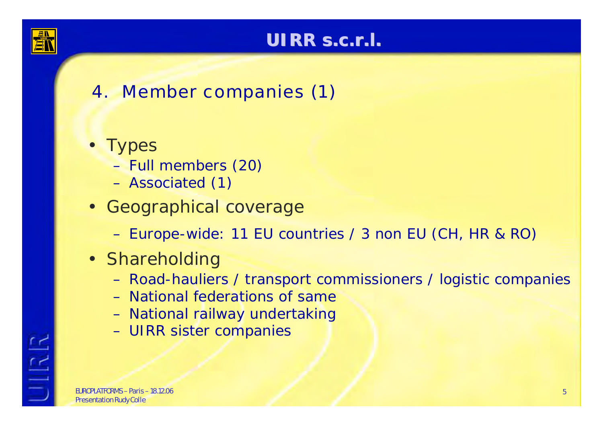

# **UIRR s.c.r.l. UIRR s.c.r.l.**

# 4. Member companies (1)

- Types
	- Full members (20)
	- Associated (1)
- Geographical coverage
	- –Europe-wide: 11 EU countries / 3 non EU (CH, HR & RO)
- Shareholding
	- –Road-hauliers / transport commissioners / logistic companies
	- National federations of same
	- –National railway undertaking
	- –UIRR sister companies

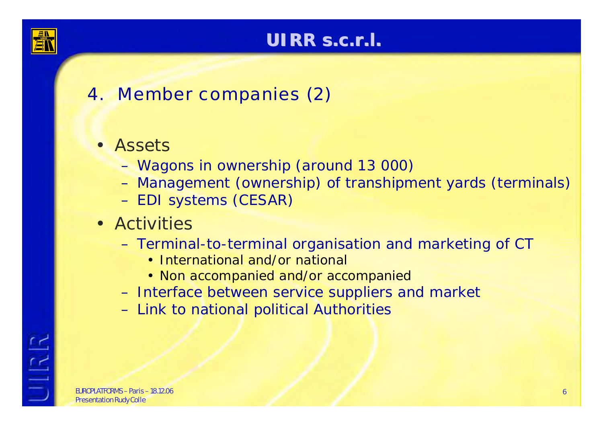

## **UIRR s.c.r.l. UIRR s.c.r.l.**

# 4. Member companies (2)

### • Assets

- –Wagons in ownership (around 13 000)
- –Management (ownership) of transhipment yards (terminals)
- –EDI systems (CESAR)
- Activities
	- – Terminal-to-terminal organisation and marketing of CT
		- International and/or national
		- Non accompanied and/or accompanied
	- –Interface between service suppliers and market
	- –Link to national political Authorities

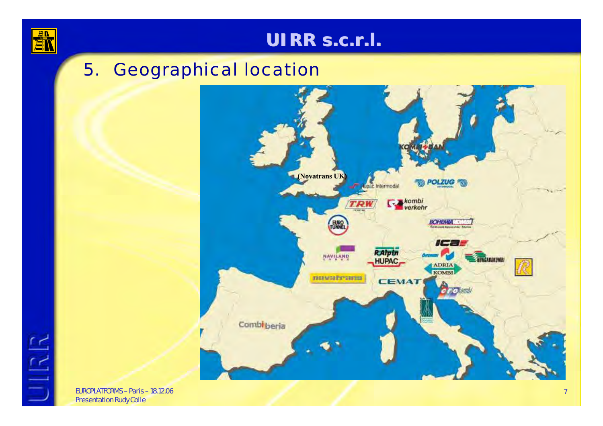

UIRR

### **UIRR s.c.r.l. s.c.r.l.**

## 5. Geographical location

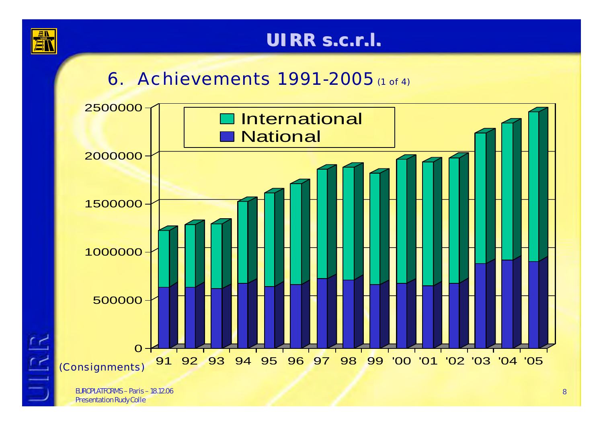

**JIRR** 

### **UIRR s.c.r.l. UIRR s.c.r.l.**

# **6. Achievements 1991-2005** (1 of 4)

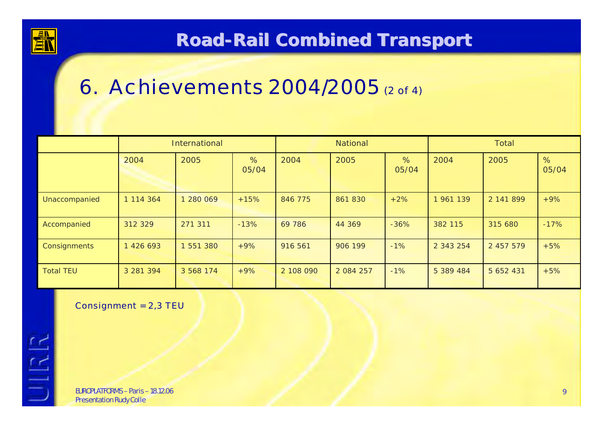

## **Road-Rail Combined Combined Transport Transport**

# 6. Achievements 2004/2005 (2 of 4)

|                  | <b>International</b> |           |            | National  |               |            | <b>Total</b> |           |            |
|------------------|----------------------|-----------|------------|-----------|---------------|------------|--------------|-----------|------------|
|                  | 2004                 | 2005      | %<br>05/04 | 2004      | 2005          | %<br>05/04 | 2004         | 2005      | %<br>05/04 |
| Unaccompanied    | 1 114 364            | 280 069   | $+15%$     | 846 775   | 861 830       | $+2%$      | 1 961 139    | 2 141 899 | $+9%$      |
| Accompanied      | 312 329              | 271 311   | $-13%$     | 69 786    | 44 369        | $-36%$     | 382 115      | 315 680   | $-17%$     |
| Consignments     | 1 426 693            | 551 380   | $+9%$      | 916 561   | 906 199       | $-1%$      | 2 343 254    | 2 457 579 | $+5%$      |
| <b>Total TEU</b> | 3 281 394            | 3 568 174 | $+9%$      | 2 108 090 | 2 0 8 4 2 5 7 | $-1%$      | 5 389 484    | 5 652 431 | $+5%$      |

Consignment = 2,3 TEU

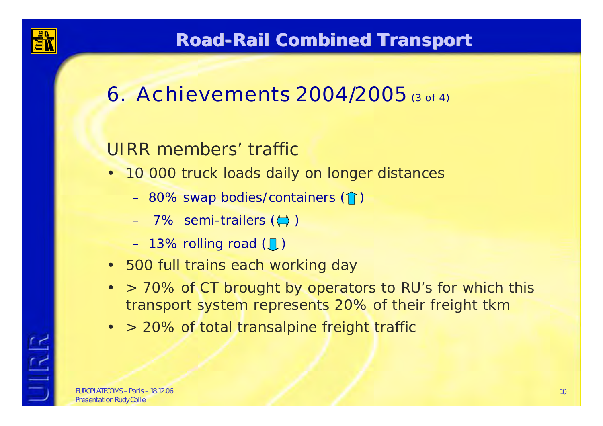

## **Road-Rail Combined Combined Transport Transport**

# 6. Achievements 2004/2005 (3 of 4)

## UIRR members' traffic

- 10 000 truck loads daily on longer distances
	- 80% swap bodies/containers  $(\mathbf{\hat{}}\,math>)$
	- 7% semi-trailers ( $\left(\rightarrows$  )
	- 13% rolling road  $(\mathbb{J})$
- 500 full trains each working day
- • > 70% of CT brought by operators to RU's for which this transport system represents 20% of their freight tkm
- •> 20% of total transalpine freight traffic

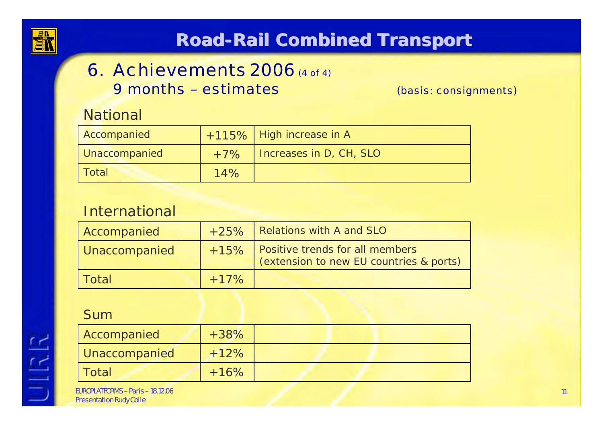

# **Road-Rail Combined Combined Transport Transport**

### 6. Achievements  $2006$  (4 of 4) 9 months – estimates

(basis: consignments)

#### **National**

| Accompanied   |       | +115% High increase in A |
|---------------|-------|--------------------------|
| Unaccompanied | $+7%$ | Increases in D, CH, SLO  |
| Total         | 14%   |                          |

#### International

| Accompanied   | $+25%$ | Relations with A and SLO                                                   |  |
|---------------|--------|----------------------------------------------------------------------------|--|
| Unaccompanied | $+15%$ | Positive trends for all members<br>(extension to new EU countries & ports) |  |
| l Total       | $+17%$ |                                                                            |  |

#### Sum

UIRR

| Accompanied   | $+38%$ |  |
|---------------|--------|--|
| Unaccompanied | $+12%$ |  |
| l Total       | $+16%$ |  |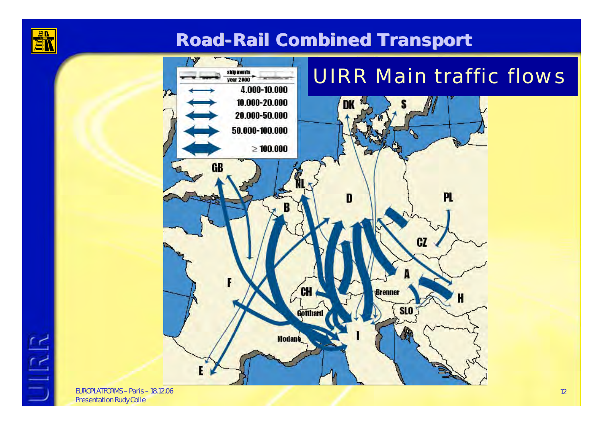

UIRR

### **Road-Rail Combined Combined Transport Transport**